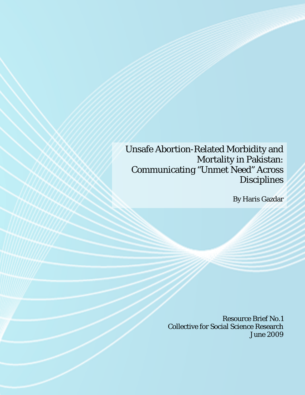Unsafe Abortion-Related Morbidity and Mortality in Pakistan: Communicating "Unmet Need" Across **Disciplines** 

By Haris Gazdar

Resource Brief No.1 Collective for Social Science Research June 2009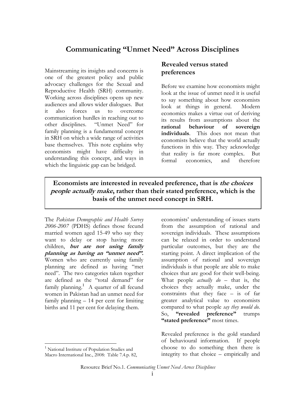# **Communicating "Unmet Need" Across Disciplines**

Mainstreaming its insights and concerns is one of the greatest policy and public advocacy challenges for the Sexual and Reproductive Health (SRH) community. Working across disciplines opens up new audiences and allows wider dialogues. But it also forces us to overcome communication hurdles in reaching out to other disciplines. "Unmet Need" for family planning is a fundamental concept in SRH on which a wide range of activities base themselves. This note explains why economists might have difficulty in understanding this concept, and ways in which the linguistic gap can be bridged.

#### **Revealed versus stated preferences**

Before we examine how economists might look at the issue of unmet need it is useful to say something about how economists look at things in general. Modern economics makes a virtue out of deriving its results from assumptions about the **rational behaviour of sovereign individuals**. This does not mean that economists believe that the world actually functions in this way. They acknowledge that reality is far more complex. But formal economics, and therefore

**Economists are interested in revealed preference, that is the choices people actually make, rather than their stated preference, which is the basis of the unmet need concept in SRH.** 

The *Pakistan Demographic and Health Survey 2006-2007* (PDHS) defines those fecund married women aged 15-49 who say they want to delay or stop having more children, **but are not using family planning as having an "unmet need".** Women who are currently using family planning are defined as having "met need". The two categories taken together are defined as the "total demand" for family planning.<sup>1</sup> A quarter of all fecund women in Pakistan had an unmet need for family planning – 14 per cent for limiting births and 11 per cent for delaying them.

 $\overline{a}$ 

economists' understanding of issues starts from the assumption of rational and sovereign individuals. These assumptions can be relaxed in order to understand particular outcomes, but they are the starting point. A direct implication of the assumption of rational and sovereign individuals is that people are able to make choices that are good for their well-being. What people *actually do* – that is, the choices they actually make, under the constraints that they face – is of far greater analytical value to economists compared to what people *say they would do*. So, **"revealed preference"** trumps "stated preference" most times.

Revealed preference is the gold standard of behavioural information. If people choose to do something then there is integrity to that choice – empirically and

Resource Brief No.1. *Communicating Unmet Need Across Disciplines* 

<sup>&</sup>lt;sup>1</sup> National Institute of Population Studies and Macro International Inc., 2008: Table 7.4.p. 82,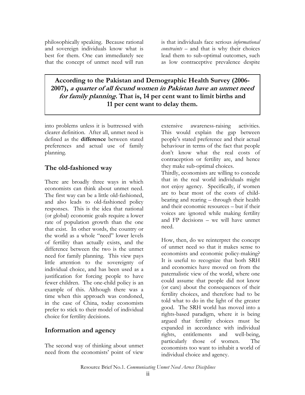philosophically speaking. Because rational and sovereign individuals know what is best for them. One can immediately see that the concept of unmet need will run is that individuals face serious *informational constraints* – and that is why their choices lead them to sub-optimal outcomes, such as low contraceptive prevalence despite

**According to the Pakistan and Demographic Health Survey (2006- 2007), a quarter of all fecund women in Pakistan have an unmet need for family planning. That is, 14 per cent want to limit births and 11 per cent want to delay them.** 

into problems unless it is buttressed with clearer definition. After all, unmet need is defined as the **difference** between stated preferences and actual use of family planning.

### **The old-fashioned way**

There are broadly three ways in which economists can think about unmet need. The first way can be a little old-fashioned, and also leads to old-fashioned policy responses. This is the idea that national (or global) economic goals require a lower rate of population growth than the one that exist. In other words, the country or the world as a whole "need" lower levels of fertility than actually exists, and the difference between the two is the unmet need for family planning. This view pays little attention to the sovereignty of individual choice, and has been used as a justification for forcing people to have fewer children. The one-child policy is an example of this. Although there was a time when this approach was condoned, in the case of China, today economists prefer to stick to their model of individual choice for fertility decisions.

### **Information and agency**

The second way of thinking about unmet need from the economists' point of view

extensive awareness-raising activities. This would explain the gap between people's stated preference and their actual behaviour in terms of the fact that people don't know what the real costs of contraception or fertility are, and hence they make sub-optimal choices.

Thirdly, economists are willing to concede that in the real world individuals might not enjoy agency. Specifically, if women are to bear most of the costs of childbearing and rearing – through their health and their economic resources – but if their voices are ignored while making fertility and FP decisions – we will have unmet need.

How, then, do we reinterpret the concept of unmet need so that it makes sense to economists and economic policy-making? It is useful to recognize that both SRH and economics have moved on from the paternalistic view of the world, where one could assume that people did not know (or care) about the consequences of their fertility choices, and therefore had to be told what to do in the light of the greater good. The SRH world has moved into a rights-based paradigm, where it is being argued that fertility choices must be expanded in accordance with individual rights, entitlements and well-being, particularly those of women. The economists too want to inhabit a world of individual choice and agency.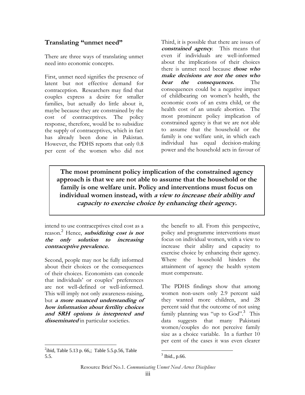### **Translating "unmet need"**

There are three ways of translating unmet need into economic concepts.

First, unmet need signifies the presence of latent but not effective demand for contraception. Researchers may find that couples express a desire for smaller families, but actually do little about it, maybe because they are constrained by the cost of contraceptives. The policy response, therefore, would be to subsidize the supply of contraceptives, which in fact has already been done in Pakistan. However, the PDHS reports that only 0.8 per cent of the women who did not

Third, it is possible that there are issues of **constrained agency**. This means that even if individuals are well-informed about the implications of their choices there is unmet need because **those who make decisions are not the ones who bear the consequences.** The consequences could be a negative impact of childbearing on women's health, the economic costs of an extra child, or the health cost of an unsafe abortion. The most prominent policy implication of constrained agency is that we are not able to assume that the household or the family is one welfare unit, in which each individual has equal decision-making power and the household acts in favour of

**The most prominent policy implication of the constrained agency approach is that we are not able to assume that the household or the family is one welfare unit. Policy and interventions must focus on individual women instead, with a view to increase their ability and capacity to exercise choice by enhancing their agency.** 

intend to use contraceptives cited cost as a reason. 2 Hence, **subsidizing cost is not the only solution to increasing contraceptive prevalence.** 

Second, people may not be fully informed about their choices or the consequences of their choices. Economists can concede that individuals' or couples' preferences are not well-defined or well-informed. This will imply not only awareness-raising, but **a more nuanced understanding of how information about fertility choices and SRH options is interpreted and disseminated** in particular societies.

 $\overline{a}$  $^{2}$ ibid, Table 5.13 p. 66,; Table 5.5.p.56, Table 5.5.

the benefit to all. From this perspective, policy and programme interventions must focus on individual women, with a view to increase their ability and capacity to exercise choice by enhancing their agency. Where the household hinders the attainment of agency the health system must compensate.

The PDHS findings show that among women non-users only 2.9 percent said they wanted more children, and 28 percent said that the outcome of not using family planning was "up to God".<sup>3</sup> This data suggests that many Pakistani women/couples do not perceive family size as a choice variable. In a further 10 per cent of the cases it was even clearer

 $3$  Ibid., p.66.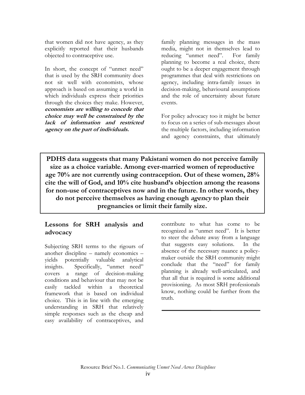that women did not have agency, as they explicitly reported that their husbands objected to contraceptive use.

In short, the concept of "unmet need" that is used by the SRH community does not sit well with economists, whose approach is based on assuming a world in which individuals express their priorities through the choices they make. However, **economists are willing to concede that choice may well be constrained by the lack of information and restricted agency on the part of individuals.** 

family planning messages in the mass media, might not in themselves lead to reducing "unmet need". For family planning to become a real choice, there ought to be a deeper engagement through programmes that deal with restrictions on agency, including intra-family issues in decision-making, behavioural assumptions and the role of uncertainty about future events.

For policy advocacy too it might be better to focus on a series of sub-messages about the multiple factors, including information and agency constraints, that ultimately

**PDHS data suggests that many Pakistani women do not perceive family size as a choice variable. Among ever-married women of reproductive age 70% are not currently using contraception. Out of these women, 28% cite the will of God, and 10% cite husband's objection among the reasons for non-use of contraceptives now and in the future. In other words, they do not perceive themselves as having enough agency to plan their pregnancies or limit their family size.** 

## **Lessons for SRH analysis and advocacy**

Subjecting SRH terms to the rigours of another discipline – namely economics – yields potentially valuable analytical insights. Specifically, "unmet need" covers a range of decision-making conditions and behaviour that may not be easily tackled within a theoretical framework that is based on individual choice. This is in line with the emerging understanding in SRH that relatively simple responses such as the cheap and easy availability of contraceptives, and

contribute to what has come to be recognized as "unmet need". It is better to steer the debate away from a language that suggests easy solutions. In the absence of the necessary nuance a policymaker outside the SRH community might conclude that the "need" for family planning is already well-articulated, and that all that is required is some additional provisioning. As most SRH professionals know, nothing could be further from the truth.